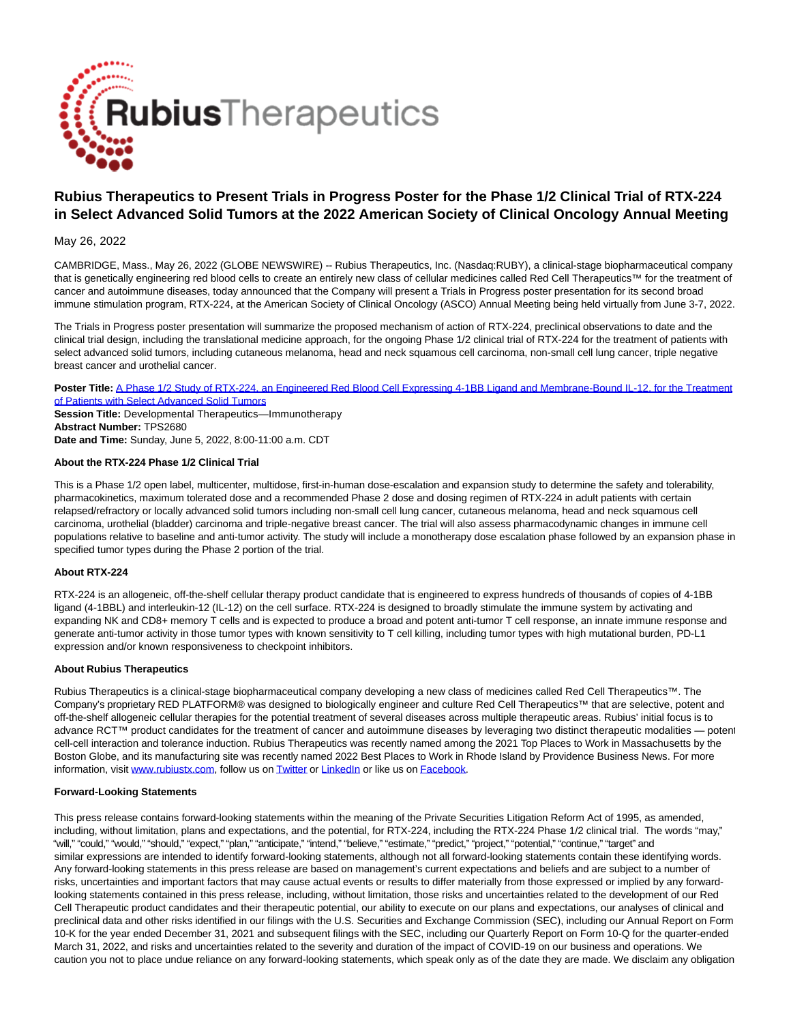

# **Rubius Therapeutics to Present Trials in Progress Poster for the Phase 1/2 Clinical Trial of RTX-224 in Select Advanced Solid Tumors at the 2022 American Society of Clinical Oncology Annual Meeting**

## May 26, 2022

CAMBRIDGE, Mass., May 26, 2022 (GLOBE NEWSWIRE) -- Rubius Therapeutics, Inc. (Nasdaq:RUBY), a clinical-stage biopharmaceutical company that is genetically engineering red blood cells to create an entirely new class of cellular medicines called Red Cell Therapeutics™ for the treatment of cancer and autoimmune diseases, today announced that the Company will present a Trials in Progress poster presentation for its second broad immune stimulation program, RTX-224, at the American Society of Clinical Oncology (ASCO) Annual Meeting being held virtually from June 3-7, 2022.

The Trials in Progress poster presentation will summarize the proposed mechanism of action of RTX-224, preclinical observations to date and the clinical trial design, including the translational medicine approach, for the ongoing Phase 1/2 clinical trial of RTX-224 for the treatment of patients with select advanced solid tumors, including cutaneous melanoma, head and neck squamous cell carcinoma, non-small cell lung cancer, triple negative breast cancer and urothelial cancer.

**Poster Title:** [A Phase 1/2 Study of RTX-224, an Engineered Red Blood Cell Expressing 4-1BB Ligand and Membrane-Bound IL-12, for the Treatment](https://www.globenewswire.com/Tracker?data=RWUzVLvQdWRKSso4b1IxqXplUkrMq9Ime6CdrnofmL7jCiR-7lAn8tFfT8BtWA-H12RIrW9FjCvxfFK13TbmrcGRjvsDkQaIe994JUWO3Mxwxt_3piZrf3rjPCoO6XMQll1ZTiY_aPWYp0YvLEicCUc48ZnCRm2UDKcqd93YjpqJ-aSK-535hGRapx9WNNYEKvBT2irkR3162cwu86O_gSE6E5OY8ElFRNb1Q7rgOTNsIwbMubgymuECc-HP1rW5ZEmZjI7rvD-Sdhpc61HicLL_NjgFxSmIWLz7FUjiMjcHl9pnjCdi40t9rD4EZ6HZ8fCe9YjUQUFiETSfGO-AGA==) of Patients with Select Advanced Solid Tumors

**Session Title:** Developmental Therapeutics—Immunotherapy **Abstract Number:** TPS2680 **Date and Time:** Sunday, June 5, 2022, 8:00-11:00 a.m. CDT

## **About the RTX-224 Phase 1/2 Clinical Trial**

This is a Phase 1/2 open label, multicenter, multidose, first-in-human dose-escalation and expansion study to determine the safety and tolerability, pharmacokinetics, maximum tolerated dose and a recommended Phase 2 dose and dosing regimen of RTX-224 in adult patients with certain relapsed/refractory or locally advanced solid tumors including non-small cell lung cancer, cutaneous melanoma, head and neck squamous cell carcinoma, urothelial (bladder) carcinoma and triple-negative breast cancer. The trial will also assess pharmacodynamic changes in immune cell populations relative to baseline and anti-tumor activity. The study will include a monotherapy dose escalation phase followed by an expansion phase in specified tumor types during the Phase 2 portion of the trial.

### **About RTX-224**

RTX-224 is an allogeneic, off-the-shelf cellular therapy product candidate that is engineered to express hundreds of thousands of copies of 4-1BB ligand (4-1BBL) and interleukin-12 (IL-12) on the cell surface. RTX-224 is designed to broadly stimulate the immune system by activating and expanding NK and CD8+ memory T cells and is expected to produce a broad and potent anti-tumor T cell response, an innate immune response and generate anti-tumor activity in those tumor types with known sensitivity to T cell killing, including tumor types with high mutational burden, PD-L1 expression and/or known responsiveness to checkpoint inhibitors.

### **About Rubius Therapeutics**

Rubius Therapeutics is a clinical-stage biopharmaceutical company developing a new class of medicines called Red Cell Therapeutics™. The Company's proprietary RED PLATFORM® was designed to biologically engineer and culture Red Cell Therapeutics™ that are selective, potent and off-the-shelf allogeneic cellular therapies for the potential treatment of several diseases across multiple therapeutic areas. Rubius' initial focus is to advance RCT™ product candidates for the treatment of cancer and autoimmune diseases by leveraging two distinct therapeutic modalities — potent cell-cell interaction and tolerance induction. Rubius Therapeutics was recently named among the 2021 Top Places to Work in Massachusetts by the Boston Globe, and its manufacturing site was recently named 2022 Best Places to Work in Rhode Island by Providence Business News. For more information, visit [www.rubiustx.com,](https://www.globenewswire.com/Tracker?data=xGjgkCFtkNpqJVksYX3OG5rSgrMjKwHmVHlf4EXhTtrLWTKuNoRNVl0En773lQVCjYnp_5LYEg-OpTwIgxcrpw==) follow us o[n Twitter o](https://www.globenewswire.com/Tracker?data=0LJHf3j3sTbp4uVKvE5Y1wRLLLgmb8as_xqIGpdaZSLkNGNJl927FGQ_juofNRK69inh4nk4uzrmmRiSYpVm3A==)r [LinkedIn o](https://www.globenewswire.com/Tracker?data=p81tbPV2Ow2Zcl5fChOxTO4-thgMk0uDaNo6tvQFtzV_53wQiWq-f1U97-s5t1XPhr5L-fB3esTSc98QV_l78vO_0xWWds-S77FQex8A-n_3npv4aZzltjWcn6zj4b8N)r like us on Eacebook.

### **Forward-Looking Statements**

This press release contains forward-looking statements within the meaning of the Private Securities Litigation Reform Act of 1995, as amended, including, without limitation, plans and expectations, and the potential, for RTX-224, including the RTX-224 Phase 1/2 clinical trial. The words "may," "will," "could," "would," "should," "expect," "plan," "anticipate," "intend," "believe," "estimate," "predict," "project," "potential," "continue," "target" and similar expressions are intended to identify forward-looking statements, although not all forward-looking statements contain these identifying words. Any forward-looking statements in this press release are based on management's current expectations and beliefs and are subject to a number of risks, uncertainties and important factors that may cause actual events or results to differ materially from those expressed or implied by any forwardlooking statements contained in this press release, including, without limitation, those risks and uncertainties related to the development of our Red Cell Therapeutic product candidates and their therapeutic potential, our ability to execute on our plans and expectations, our analyses of clinical and preclinical data and other risks identified in our filings with the U.S. Securities and Exchange Commission (SEC), including our Annual Report on Form 10-K for the year ended December 31, 2021 and subsequent filings with the SEC, including our Quarterly Report on Form 10-Q for the quarter-ended March 31, 2022, and risks and uncertainties related to the severity and duration of the impact of COVID-19 on our business and operations. We caution you not to place undue reliance on any forward-looking statements, which speak only as of the date they are made. We disclaim any obligation